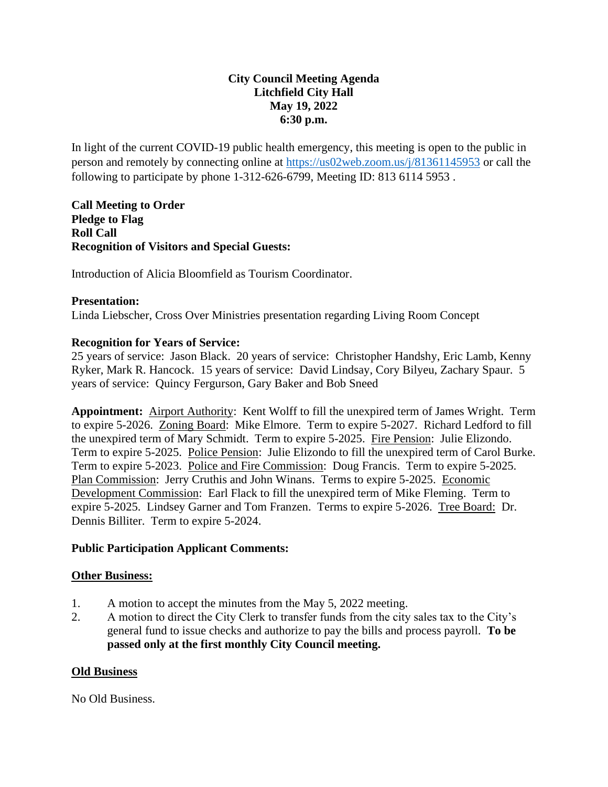# **City Council Meeting Agenda Litchfield City Hall May 19, 2022 6:30 p.m.**

In light of the current COVID-19 public health emergency, this meeting is open to the public in person and remotely by connecting online at<https://us02web.zoom.us/j/81361145953> or call the following to participate by phone 1-312-626-6799, Meeting ID: 813 6114 5953 .

**Call Meeting to Order Pledge to Flag Roll Call Recognition of Visitors and Special Guests:** 

Introduction of Alicia Bloomfield as Tourism Coordinator.

#### **Presentation:**

Linda Liebscher, Cross Over Ministries presentation regarding Living Room Concept

### **Recognition for Years of Service:**

25 years of service: Jason Black. 20 years of service: Christopher Handshy, Eric Lamb, Kenny Ryker, Mark R. Hancock. 15 years of service: David Lindsay, Cory Bilyeu, Zachary Spaur. 5 years of service: Quincy Fergurson, Gary Baker and Bob Sneed

**Appointment:** Airport Authority: Kent Wolff to fill the unexpired term of James Wright. Term to expire 5-2026. Zoning Board: Mike Elmore. Term to expire 5-2027. Richard Ledford to fill the unexpired term of Mary Schmidt. Term to expire 5-2025. Fire Pension: Julie Elizondo. Term to expire 5-2025. Police Pension: Julie Elizondo to fill the unexpired term of Carol Burke. Term to expire 5-2023. Police and Fire Commission: Doug Francis. Term to expire 5-2025. Plan Commission: Jerry Cruthis and John Winans. Terms to expire 5-2025. Economic Development Commission: Earl Flack to fill the unexpired term of Mike Fleming. Term to expire 5-2025. Lindsey Garner and Tom Franzen. Terms to expire 5-2026. Tree Board: Dr. Dennis Billiter. Term to expire 5-2024.

#### **Public Participation Applicant Comments:**

#### **Other Business:**

- 1. A motion to accept the minutes from the May 5, 2022 meeting.
- 2. A motion to direct the City Clerk to transfer funds from the city sales tax to the City's general fund to issue checks and authorize to pay the bills and process payroll. **To be passed only at the first monthly City Council meeting.**

#### **Old Business**

No Old Business.